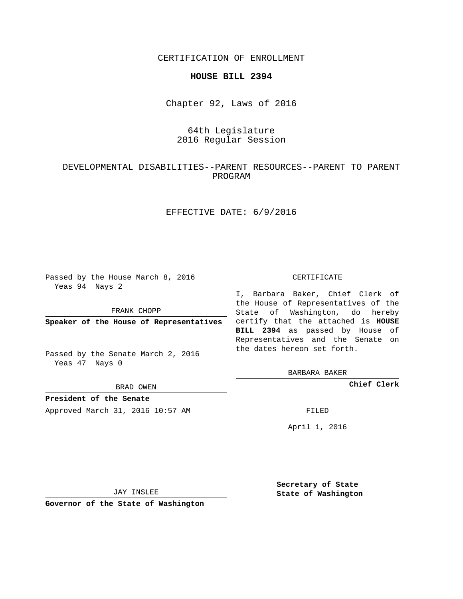CERTIFICATION OF ENROLLMENT

### **HOUSE BILL 2394**

Chapter 92, Laws of 2016

# 64th Legislature 2016 Regular Session

# DEVELOPMENTAL DISABILITIES--PARENT RESOURCES--PARENT TO PARENT PROGRAM

## EFFECTIVE DATE: 6/9/2016

Passed by the House March 8, 2016 Yeas 94 Nays 2

FRANK CHOPP

Passed by the Senate March 2, 2016 Yeas 47 Nays 0

BRAD OWEN

**President of the Senate**

Approved March 31, 2016 10:57 AM FILED

#### CERTIFICATE

**Speaker of the House of Representatives** certify that the attached is **HOUSE** I, Barbara Baker, Chief Clerk of the House of Representatives of the State of Washington, do hereby **BILL 2394** as passed by House of Representatives and the Senate on the dates hereon set forth.

BARBARA BAKER

**Chief Clerk**

April 1, 2016

JAY INSLEE

**Governor of the State of Washington**

**Secretary of State State of Washington**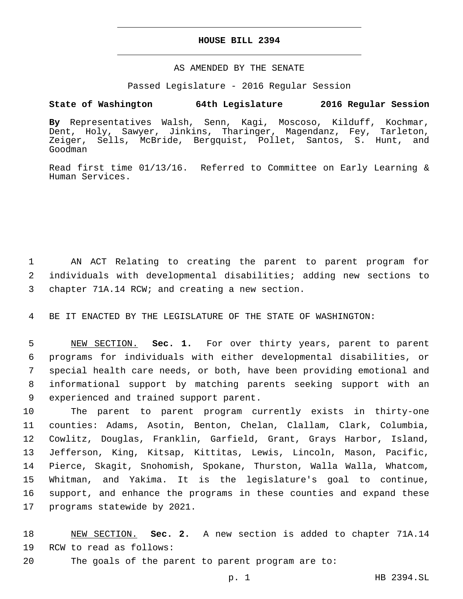## **HOUSE BILL 2394**

## AS AMENDED BY THE SENATE

Passed Legislature - 2016 Regular Session

## **State of Washington 64th Legislature 2016 Regular Session**

**By** Representatives Walsh, Senn, Kagi, Moscoso, Kilduff, Kochmar, Dent, Holy, Sawyer, Jinkins, Tharinger, Magendanz, Fey, Tarleton, Zeiger, Sells, McBride, Bergquist, Pollet, Santos, S. Hunt, and Goodman

Read first time 01/13/16. Referred to Committee on Early Learning & Human Services.

1 AN ACT Relating to creating the parent to parent program for 2 individuals with developmental disabilities; adding new sections to 3 chapter 71A.14 RCW; and creating a new section.

4 BE IT ENACTED BY THE LEGISLATURE OF THE STATE OF WASHINGTON:

 NEW SECTION. **Sec. 1.** For over thirty years, parent to parent programs for individuals with either developmental disabilities, or special health care needs, or both, have been providing emotional and informational support by matching parents seeking support with an experienced and trained support parent.

 The parent to parent program currently exists in thirty-one counties: Adams, Asotin, Benton, Chelan, Clallam, Clark, Columbia, Cowlitz, Douglas, Franklin, Garfield, Grant, Grays Harbor, Island, Jefferson, King, Kitsap, Kittitas, Lewis, Lincoln, Mason, Pacific, Pierce, Skagit, Snohomish, Spokane, Thurston, Walla Walla, Whatcom, Whitman, and Yakima. It is the legislature's goal to continue, support, and enhance the programs in these counties and expand these 17 programs statewide by 2021.

18 NEW SECTION. **Sec. 2.** A new section is added to chapter 71A.14 19 RCW to read as follows:

20 The goals of the parent to parent program are to: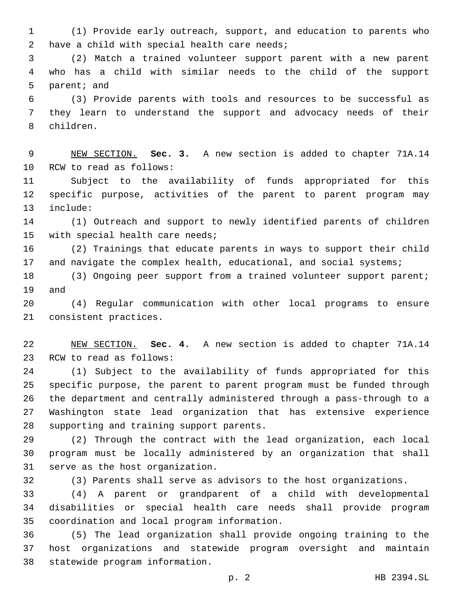(1) Provide early outreach, support, and education to parents who 2 have a child with special health care needs;

 (2) Match a trained volunteer support parent with a new parent who has a child with similar needs to the child of the support 5 parent; and

 (3) Provide parents with tools and resources to be successful as they learn to understand the support and advocacy needs of their 8 children.

 NEW SECTION. **Sec. 3.** A new section is added to chapter 71A.14 10 RCW to read as follows:

 Subject to the availability of funds appropriated for this specific purpose, activities of the parent to parent program may 13 include:

 (1) Outreach and support to newly identified parents of children 15 with special health care needs;

 (2) Trainings that educate parents in ways to support their child 17 and navigate the complex health, educational, and social systems;

 (3) Ongoing peer support from a trained volunteer support parent; 19 and

 (4) Regular communication with other local programs to ensure 21 consistent practices.

 NEW SECTION. **Sec. 4.** A new section is added to chapter 71A.14 23 RCW to read as follows:

 (1) Subject to the availability of funds appropriated for this specific purpose, the parent to parent program must be funded through the department and centrally administered through a pass-through to a Washington state lead organization that has extensive experience 28 supporting and training support parents.

 (2) Through the contract with the lead organization, each local program must be locally administered by an organization that shall 31 serve as the host organization.

(3) Parents shall serve as advisors to the host organizations.

 (4) A parent or grandparent of a child with developmental disabilities or special health care needs shall provide program 35 coordination and local program information.

 (5) The lead organization shall provide ongoing training to the host organizations and statewide program oversight and maintain 38 statewide program information.